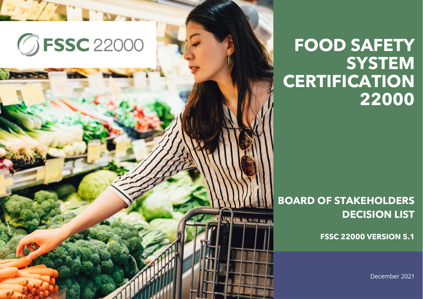

## **FOOD SAFETY SYSTEM CERTIFICATION 22000**

## **BOARD OF STAKEHOLDERS DECISION LIST**

**FSSC 22000 VERSION 5.1**

December 2021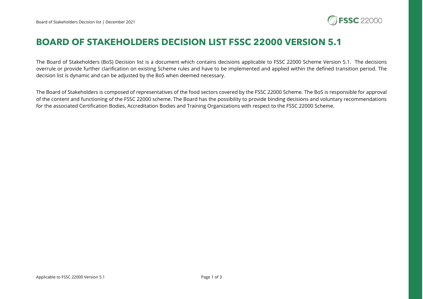

## **BOARD OF STAKEHOLDERS DECISION LIST FSSC 22000 VERSION 5.1**

The Board of Stakeholders (BoS) Decision list is a document which contains decisions applicable to FSSC 22000 Scheme Version 5.1. The decisions overrule or provide further clarification on existing Scheme rules and have to be implemented and applied within the defined transition period. The decision list is dynamic and can be adjusted by the BoS when deemed necessary.

The Board of Stakeholders is composed of representatives of the food sectors covered by the FSSC 22000 Scheme. The BoS is responsible for approval of the content and functioning of the FSSC 22000 scheme. The Board has the possibility to provide binding decisions and voluntary recommendations for the associated Certification Bodies, Accreditation Bodies and Training Organizations with respect to the FSSC 22000 Scheme.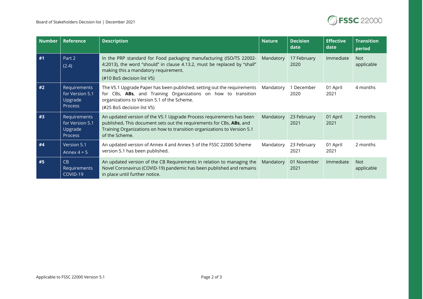

| <b>Number</b> | <b>Reference</b>                                             | <b>Description</b>                                                                                                                                                                                                                         | <b>Nature</b> | <b>Decision</b><br>date | <b>Effective</b><br>date | <b>Transition</b><br>period |
|---------------|--------------------------------------------------------------|--------------------------------------------------------------------------------------------------------------------------------------------------------------------------------------------------------------------------------------------|---------------|-------------------------|--------------------------|-----------------------------|
| #1            | Part 2<br>(2.4)                                              | In the PRP standard for Food packaging manufacturing (ISO/TS 22002-<br>4:2013), the word "should" in clause 4.13.2, must be replaced by "shall"<br>making this a mandatory requirement.<br>(#10 BoS decision list V5)                      | Mandatory     | 17 February<br>2020     | Immediate                | <b>Not</b><br>applicable    |
| #2            | Requirements<br>for Version 5.1<br>Upgrade<br><b>Process</b> | The V5.1 Upgrade Paper has been published, setting out the requirements<br>for CBs, ABs, and Training Organizations on how to transition<br>organizations to Version 5.1 of the Scheme.<br>(#25 BoS decision list V5)                      | Mandatory     | 1 December<br>2020      | 01 April<br>2021         | 4 months                    |
| #3            | Requirements<br>for Version 5.1<br>Upgrade<br><b>Process</b> | An updated version of the V5.1 Upgrade Process requirements has been<br>published. This document sets out the requirements for CBs, ABs, and<br>Training Organizations on how to transition organizations to Version 5.1<br>of the Scheme. | Mandatory     | 23 February<br>2021     | 01 April<br>2021         | 2 months                    |
| #4            | Version 5.1<br>Annex $4 + 5$                                 | An updated version of Annex 4 and Annex 5 of the FSSC 22000 Scheme<br>version 5.1 has been published.                                                                                                                                      | Mandatory     | 23 February<br>2021     | 01 April<br>2021         | 2 months                    |
| #5            | CB<br>Requirements<br>COVID-19                               | An updated version of the CB Requirements in relation to managing the<br>Novel Coronavirus (COVID-19) pandemic has been published and remains<br>in place until further notice.                                                            | Mandatory     | 01 November<br>2021     | Immediate                | <b>Not</b><br>applicable    |